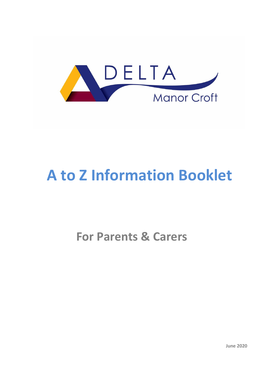

# **A to Z Information Booklet**

## **For Parents & Carers**

**June 2020**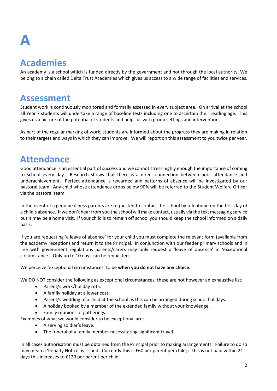# **A**

### **Academies**

An academy is a school which is funded directly by the government and not through the local authority. We belong to a chain called Delta Trust Academies which gives us access to a wide range of facilities and services.

#### **Assessment**

Student work is continuously monitored and formally assessed in every subject area. On arrival at the school all Year 7 students will undertake a range of baseline tests including one to ascertain their reading age. This gives us a picture of the potential of students and helps us with group settings and interventions.

As part of the regular marking of work, students are informed about the progress they are making in relation to their targets and ways in which they can improve. We will report on this assessment to you twice per year.

### **Attendance**

Good attendance is an essential part of success and we cannot stress highly enough the importance of coming to school every day. Research shows that there is a direct connection between poor attendance and underachievement. Perfect attendance is rewarded and patterns of absence will be investigated by our pastoral team. Any child whose attendance drops below 90% will be referred to the Student Welfare Officer via the pastoral team.

In the event of a genuine illness parents are requested to contact the school by telephone on the first day of a child's absence. If we don't hear from you the school will make contact, usually via the text messaging service but it may be a home visit. If your child is to remain off school you should keep the school informed on a daily basis.

If you are requesting 'a leave of absence' for your child you must complete the relevant form (available from the academy reception) and return it to the Principal. In conjunction with our feeder primary schools and in line with government regulations parents/carers may only request a 'leave of absence' in 'exceptional circumstance.' Only up to 10 days can be requested.

We perceive 'exceptional circumstances' to be **when you do not have any choice**.

We DO NOT consider the following as exceptional circumstances; these are not however an exhaustive list:

- Parent/s work/holiday rota.
- A family holiday at a lower cost.
- Parent/s wedding of a child at the school as this can be arranged during school holidays.
- A holiday booked by a member of the extended family without your knowledge.
- Family reunions or gatherings.

Examples of what we would consider to be exceptional are:

- A serving soldier's leave.
- The funeral of a family member necessitating significant travel.

In all cases authorisation must be obtained from the Principal prior to making arrangements. Failure to do so may mean a 'Penalty Notice' is issued. Currently this is £60 per parent per child; if this is not paid within 21 days this increases to £120 per parent per child.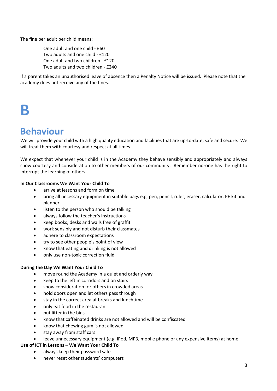The fine per adult per child means:

One adult and one child - £60 Two adults and one child - £120 One adult and two children - £120 Two adults and two children - £240

If a parent takes an unauthorised leave of absence then a Penalty Notice will be issued. Please note that the academy does not receive any of the fines.

## **B**

#### **Behaviour**

We will provide your child with a high quality education and facilities that are up-to-date, safe and secure. We will treat them with courtesy and respect at all times.

We expect that whenever your child is in the Academy they behave sensibly and appropriately and always show courtesy and consideration to other members of our community. Remember no-one has the right to interrupt the learning of others.

#### **In Our Classrooms We Want Your Child To**

- arrive at lessons and form on time
- bring all necessary equipment in suitable bags e.g. pen, pencil, ruler, eraser, calculator, PE kit and planner
- listen to the person who should be talking
- always follow the teacher's instructions
- keep books, desks and walls free of graffiti
- work sensibly and not disturb their classmates
- adhere to classroom expectations
- try to see other people's point of view
- know that eating and drinking is not allowed
- only use non-toxic correction fluid

#### **During the Day We Want Your Child To**

- move round the Academy in a quiet and orderly way
- keep to the left in corridors and on stairs
- show consideration for others in crowded areas
- hold doors open and let others pass through
- stay in the correct area at breaks and lunchtime
- only eat food in the restaurant
- put litter in the bins
- know that caffeinated drinks are not allowed and will be confiscated
- know that chewing gum is not allowed
- stay away from staff cars
- leave unnecessary equipment (e.g. iPod, MP3, mobile phone or any expensive items) at home

#### **Use of ICT in Lessons – We Want Your Child To**

- always keep their password safe
- never reset other students' computers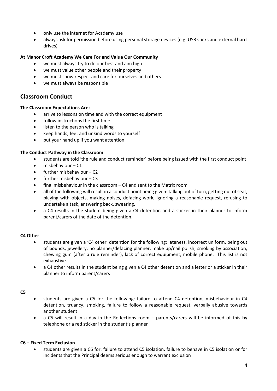- only use the internet for Academy use
- always ask for permission before using personal storage devices (e.g. USB sticks and external hard drives)

#### **At Manor Croft Academy We Care For and Value Our Community**

- we must always try to do our best and aim high
- we must value other people and their property
- we must show respect and care for ourselves and others
- we must always be responsible

#### **Classroom Conduct**

#### **The Classroom Expectations Are:**

- arrive to lessons on time and with the correct equipment
- follow instructions the first time
- listen to the person who is talking
- keep hands, feet and unkind words to yourself
- put your hand up if you want attention

#### **The Conduct Pathway in the Classroom**

- students are told 'the rule and conduct reminder' before being issued with the first conduct point
- misbehaviour C1
- further misbehaviour C2
- further misbehaviour C3
- final misbehaviour in the classroom C4 and sent to the Matrix room
- all of the following will result in a conduct point being given: talking out of turn, getting out of seat, playing with objects, making noises, defacing work, ignoring a reasonable request, refusing to undertake a task, answering back, swearing.
- a C4 results in the student being given a C4 detention and a sticker in their planner to inform parent/carers of the date of the detention.

#### **C4 Other**

- students are given a 'C4 other' detention for the following: lateness, incorrect uniform, being out of bounds, jewellery, no planner/defacing planner, make up/nail polish, smoking by association, chewing gum (after a rule reminder), lack of correct equipment, mobile phone. This list is not exhaustive.
- a C4 other results in the student being given a C4 other detention and a letter or a sticker in their planner to inform parent/carers

#### **C5**

- students are given a C5 for the following: failure to attend C4 detention, misbehaviour in C4 detention, truancy, smoking, failure to follow a reasonable request, verbally abusive towards another student
- a C5 will result in a day in the Reflections room parents/carers will be informed of this by telephone or a red sticker in the student's planner

#### **C6 – Fixed Term Exclusion**

 students are given a C6 for: failure to attend C5 isolation, failure to behave in C5 isolation or for incidents that the Principal deems serious enough to warrant exclusion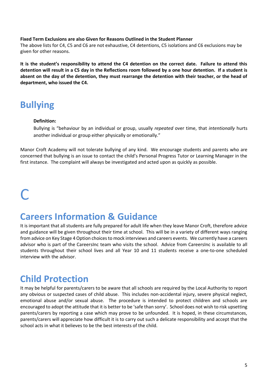#### **Fixed Term Exclusions are also Given for Reasons Outlined in the Student Planner**

The above lists for C4, C5 and C6 are not exhaustive, C4 detentions, C5 isolations and C6 exclusions may be given for other reasons.

**It is the student's responsibility to attend the C4 detention on the correct date. Failure to attend this detention will result in a C5 day in the Reflections room followed by a one hour detention. If a student is absent on the day of the detention, they must rearrange the detention with their teacher, or the head of department, who issued the C4.**

#### **Bullying**

#### **Definition:**

Bullying is "behaviour by an individual or group, usually *repeated* over time, that *intentionally* hurts another individual or group either physically or emotionally."

Manor Croft Academy will not tolerate bullying of any kind. We encourage students and parents who are concerned that bullying is an issue to contact the child's Personal Progress Tutor or Learning Manager in the first instance. The complaint will always be investigated and acted upon as quickly as possible.

## $\blacksquare$

#### **Careers Information & Guidance**

It is important that all students are fully prepared for adult life when they leave Manor Croft, therefore advice and guidance will be given throughout their time at school. This will be in a variety of different ways ranging from advice on Key Stage 4 Option choices to mock interviews and careers events. We currently have a careers advisor who is part of the CareersInc team who visits the school. Advice from CareersInc is available to all students throughout their school lives and all Year 10 and 11 students receive a one-to-one scheduled interview with the advisor.

#### **Child Protection**

It may be helpful for parents/carers to be aware that all schools are required by the Local Authority to report any obvious or suspected cases of child abuse. This includes non-accidental injury, severe physical neglect, emotional abuse and/or sexual abuse. The procedure is intended to protect children and schools are encouraged to adopt the attitude that it is better to be 'safe than sorry'. School does not wish to risk upsetting parents/carers by reporting a case which may prove to be unfounded. It is hoped, in these circumstances, parents/carers will appreciate how difficult it is to carry out such a delicate responsibility and accept that the school acts in what it believes to be the best interests of the child.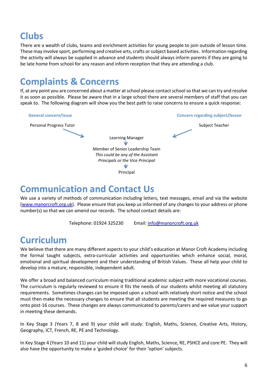### **Clubs**

There are a wealth of clubs, teams and enrichment activities for young people to join outside of lesson time. These may involve sport, performing and creative arts, crafts or subject based activities. Information regarding the activity will always be supplied in advance and students should always inform parents if they are going to be late home from school for any reason and inform reception that they are attending a club.

## **Complaints & Concerns**

If, at any point you are concerned about a matter at school please contact school so that we can try and resolve it as soon as possible. Please be aware that in a large school there are several members of staff that you can speak to. The following diagram will show you the best path to raise concerns to ensure a quick response:



### **Communication and Contact Us**

We use a variety of methods of communication including letters, text messages, email and via the website [\(www.manorcroft.org.uk\)](http://www.manorcroft.org.uk/). Please ensure that you keep us informed of any changes to your address or phone number(s) so that we can amend our records. The school contact details are:

Telephone: 01924 325230 Email[: info@manorcroft.org.uk](mailto:admin@manorcroft.org.uk)

### **Curriculum**

We believe that there are many different aspects to your child's education at Manor Croft Academy including the formal taught subjects, extra-curricular activities and opportunities which enhance social, moral, emotional and spiritual development and their understanding of British Values. These all help your child to develop into a mature, responsible, independent adult.

We offer a broad and balanced curriculum mixing traditional academic subject with more vocational courses. The curriculum is regularly reviewed to ensure it fits the needs of our students whilst meeting all statutory requirements. Sometimes changes can be imposed upon a school with relatively short notice and the school must then make the necessary changes to ensure that all students are meeting the required measures to go onto post-16 courses. These changes are always communicated to parents/carers and we value your support in meeting these demands.

In Key Stage 3 (Years 7, 8 and 9) your child will study: English, Maths, Science, Creative Arts, History, Geography, ICT, French, RE, PE and Technology.

In Key Stage 4 (Years 10 and 11) your child will study English, Maths, Science, RE, PSHCE and core PE. They will also have the opportunity to make a 'guided choice' for their 'option' subjects.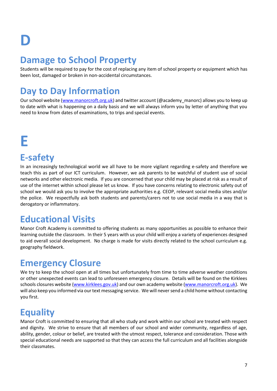# **D**

### **Damage to School Property**

Students will be required to pay for the cost of replacing any item of school property or equipment which has been lost, damaged or broken in non-accidental circumstances.

## **Day to Day Information**

Our school website [\(www.manorcroft.org.uk\)](http://www.manorcroft.org.uk/) and twitter account (@academy\_manorc) allows you to keep up to date with what is happening on a daily basis and we will always inform you by letter of anything that you need to know from dates of examinations, to trips and special events.

## **E**

### **E-safety**

In an increasingly technological world we all have to be more vigilant regarding e-safety and therefore we teach this as part of our ICT curriculum. However, we ask parents to be watchful of student use of social networks and other electronic media. If you are concerned that your child may be placed at risk as a result of use of the internet within school please let us know. If you have concerns relating to electronic safety out of school we would ask you to involve the appropriate authorities e.g. CEOP, relevant social media sites and/or the police. We respectfully ask both students and parents/carers not to use social media in a way that is derogatory or inflammatory.

### **Educational Visits**

Manor Croft Academy is committed to offering students as many opportunities as possible to enhance their learning outside the classroom. In their 5 years with us your child will enjoy a variety of experiences designed to aid overall social development. No charge is made for visits directly related to the school curriculum e.g. geography fieldwork.

### **Emergency Closure**

We try to keep the school open at all times but unfortunately from time to time adverse weather conditions or other unexpected events can lead to unforeseen emergency closure. Details will be found on the Kirklees schools closures website [\(www.kirklees.gov.uk\)](http://www.kirklees.gov.uk/) and our own academy website [\(www.manorcroft.org.uk\)](http://www.manorcroft.org.uk/). We will also keep you informed via our text messaging service. We will never send a child home without contacting you first.

## **Equality**

Manor Croft is committed to ensuring that all who study and work within our school are treated with respect and dignity. We strive to ensure that all members of our school and wider community, regardless of age, ability, gender, colour or belief, are treated with the utmost respect, tolerance and consideration. Those with special educational needs are supported so that they can access the full curriculum and all facilities alongside their classmates.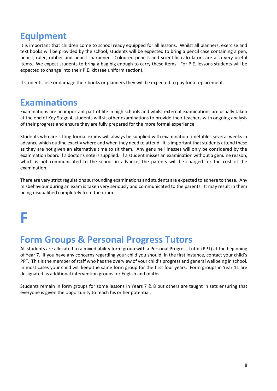#### **Equipment**

It is important that children come to school ready equipped for all lessons. Whilst all planners, exercise and text books will be provided by the school, students will be expected to bring a pencil case containing a pen, pencil, ruler, rubber and pencil sharpener. Coloured pencils and scientific calculators are also very useful items. We expect students to bring a bag big enough to carry these items. For P.E. lessons students will be expected to change into their P.E. kit (see uniform section).

If students lose or damage their books or planners they will be expected to pay for a replacement.

#### **Examinations**

Examinations are an important part of life in high schools and whilst external examinations are usually taken at the end of Key Stage 4, students will sit other examinations to provide their teachers with ongoing analysis of their progress and ensure they are fully prepared for the more formal experience.

Students who are sitting formal exams will always be supplied with examination timetables several weeks in advance which outline exactly where and when they need to attend. It is important that students attend these as they are not given an alternative time to sit them. Any genuine illnesses will only be considered by the examination board if a doctor's note is supplied. If a student misses an examination without a genuine reason, which is not communicated to the school in advance, the parents will be charged for the cost of the examination.

There are very strict regulations surrounding examinations and students are expected to adhere to these. Any misbehaviour during an exam is taken very seriously and communicated to the parents. It may result in them being disqualified completely from the exam.

## **F**

#### **Form Groups & Personal Progress Tutors**

All students are allocated to a mixed ability form group with a Personal Progress Tutor (PPT) at the beginning of Year 7. If you have any concerns regarding your child you should, in the first instance, contact your child's PPT. This is the member of staff who has the overview of your child's progress and general wellbeing in school. In most cases your child will keep the same form group for the first four years. Form groups in Year 11 are designated as additional intervention groups for English and maths.

Students remain in form groups for some lessons in Years 7 & 8 but others are taught in sets ensuring that everyone is given the opportunity to reach his or her potential.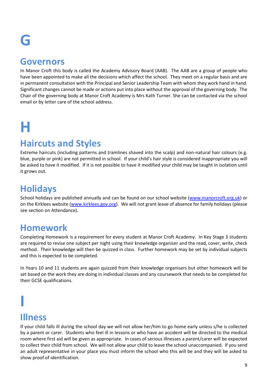## **G**

#### **Governors**

In Manor Croft this body is called the Academy Advisory Board (AAB). The AAB are a group of people who have been appointed to make all the decisions which affect the school. They meet on a regular basis and are in permanent consultation with the Principal and Senior Leadership Team with whom they work hand in hand. Significant changes cannot be made or actions put into place without the approval of the governing body. The Chair of the governing body at Manor Croft Academy is Mrs Kath Turner. She can be contacted via the school email or by letter care of the school address.

# **H**

#### **Haircuts and Styles**

Extreme haircuts (including patterns and tramlines shaved into the scalp) and non-natural hair colours (e.g. blue, purple or pink) are not permitted in school. If your child's hair style is considered inappropriate you will be asked to have it modified. If it is not possible to have it modified your child may be taught in isolation until it grows out.

### **Holidays**

School holidays are published annually and can be found on our school website [\(www.manorcroft.org.uk\)](http://www.manorcroft.org.uk/) or on the Kirklees website [\(www.kirklees.gov.org\)](http://www.kirklees.gov.org/). We will not grant leave of absence for family holidays (please see section on Attendance).

#### **Homework**

Completing Homework is a requirement for every student at Manor Croft Academy. In Key Stage 3 students are required to revise one subject per night using their knowledge organiser and the read, cover, write, check method. Their knowledge will then be quizzed in class. Further homework may be set by individual subjects and this is expected to be completed.

In Years 10 and 11 students are again quizzed from their knowledge organisers but other homework will be set based on the work they are doing in individual classes and any coursework that needs to be completed for their GCSE qualifications.

### **Illness**

**I**

If your child falls ill during the school day we will not allow her/him to go home early unless s/he is collected by a parent or carer. Students who feel ill in lessons or who have an accident will be directed to the medical room where first aid will be given as appropriate. In cases of serious illnesses a parent/carer will be expected to collect their child from school. We will not allow your child to leave the school unaccompanied. If you send an adult representative in your place you must inform the school who this will be and they will be asked to show proof of identification.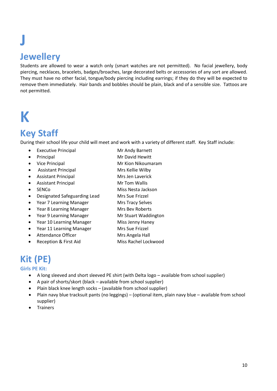## **J Jewellery**

Students are allowed to wear a watch only (smart watches are not permitted). No facial jewellery, body piercing, necklaces, bracelets, badges/broaches, large decorated belts or accessories of any sort are allowed. They must have no other facial, tongue/body piercing including earrings; if they do they will be expected to remove them immediately. Hair bands and bobbles should be plain, black and of a sensible size. Tattoos are not permitted.

## **K**

### **Key Staff**

During their school life your child will meet and work with a variety of different staff. Key Staff include:

- Executive Principal Mr Andy Barnett
- Principal Mr David Hewitt
- Vice Principal **Mr Kion Nikoumaram**
- Assistant Principal Mrs Kellie Wilby
- Assistant Principal Mrs Jen Laverick
- Assistant Principal Mr Tom Wallis
- 
- Designated Safeguarding Lead Mrs Sue Frizzel
- Year 7 Learning Manager Mrs Tracy Selves
- Year 8 Learning Manager Mrs Bev Roberts
- Year 9 Learning Manager Mr Stuart Waddington
- Year 10 Learning Manager Miss Jenny Haney
- Year 11 Learning Manager Mrs Sue Frizzel
- Attendance Officer Mrs Angela Hall
- 
- 
- 
- 
- -
- SENCo Miss Nesta Jackson
	-
	-
	-
	-
	-
	-
	-
	- Reception & First Aid Miss Rachel Lockwood

### **Kit (PE)**

#### **Girls PE Kit:**

- A long sleeved and short sleeved PE shirt (with Delta logo available from school supplier)
- A pair of shorts/skort (black available from school supplier)
- Plain black knee length socks (available from school supplier)
- Plain navy blue tracksuit pants (no leggings) (optional item, plain navy blue available from school supplier)
- Trainers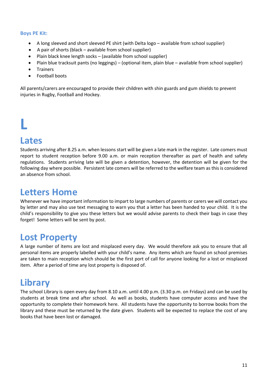#### **Boys PE Kit:**

- A long sleeved and short sleeved PE shirt (with Delta logo available from school supplier)
- A pair of shorts (black available from school supplier)
- Plain black knee length socks (available from school supplier)
- Plain blue tracksuit pants (no leggings) (optional item, plain blue available from school supplier)
- Trainers
- Football boots

All parents/carers are encouraged to provide their children with shin guards and gum shields to prevent injuries in Rugby, Football and Hockey.

# **L**

#### **Lates**

Students arriving after 8.25 a.m. when lessons start will be given a late mark in the register. Late comers must report to student reception before 9.00 a.m. or main reception thereafter as part of health and safety regulations. Students arriving late will be given a detention, however, the detention will be given for the following day where possible. Persistent late comers will be referred to the welfare team as this is considered an absence from school.

#### **Letters Home**

Whenever we have important information to impart to large numbers of parents or carers we will contact you by letter and may also use text messaging to warn you that a letter has been handed to your child. It is the child's responsibility to give you these letters but we would advise parents to check their bags in case they forget! Some letters will be sent by post.

### **Lost Property**

A large number of items are lost and misplaced every day. We would therefore ask you to ensure that all personal items are properly labelled with your child's name. Any items which are found on school premises are taken to main reception which should be the first port of call for anyone looking for a lost or misplaced item. After a period of time any lost property is disposed of.

### **Library**

The school Library is open every day from 8.10 a.m. until 4.00 p.m. (3.30 p.m. on Fridays) and can be used by students at break time and after school. As well as books, students have computer access and have the opportunity to complete their homework here. All students have the opportunity to borrow books from the library and these must be returned by the date given. Students will be expected to replace the cost of any books that have been lost or damaged.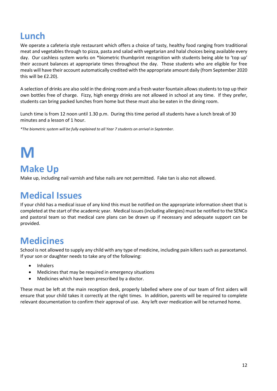### **Lunch**

We operate a cafeteria style restaurant which offers a choice of tasty, healthy food ranging from traditional meat and vegetables through to pizza, pasta and salad with vegetarian and halal choices being available every day. Our cashless system works on \*biometric thumbprint recognition with students being able to 'top up' their account balances at appropriate times throughout the day. Those students who are eligible for free meals will have their account automatically credited with the appropriate amount daily (from September 2020 this will be £2.20).

A selection of drinks are also sold in the dining room and a fresh water fountain allows students to top up their own bottles free of charge. Fizzy, high energy drinks are not allowed in school at any time. If they prefer, students can bring packed lunches from home but these must also be eaten in the dining room.

Lunch time is from 12 noon until 1.30 p.m. During this time period all students have a lunch break of 30 minutes and a lesson of 1 hour.

*\*The biometric system will be fully explained to all Year 7 students on arrival in September.*

# **M**

#### **Make Up**

Make up, including nail varnish and false nails are not permitted. Fake tan is also not allowed.

#### **Medical Issues**

If your child has a medical issue of any kind this must be notified on the appropriate information sheet that is completed at the start of the academic year. Medical issues (including allergies) must be notified to the SENCo and pastoral team so that medical care plans can be drawn up if necessary and adequate support can be provided.

#### **Medicines**

School is not allowed to supply any child with any type of medicine, including pain killers such as paracetamol. If your son or daughter needs to take any of the following:

- Inhalers
- Medicines that may be required in emergency situations
- Medicines which have been prescribed by a doctor.

These must be left at the main reception desk, properly labelled where one of our team of first aiders will ensure that your child takes it correctly at the right times. In addition, parents will be required to complete relevant documentation to confirm their approval of use. Any left over medication will be returned home.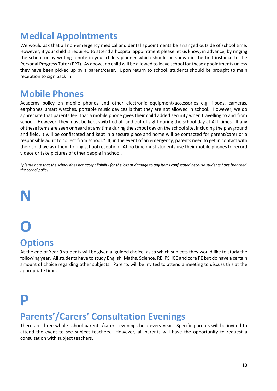#### **Medical Appointments**

We would ask that all non-emergency medical and dental appointments be arranged outside of school time. However, if your child is required to attend a hospital appointment please let us know, in advance, by ringing the school or by writing a note in your child's planner which should be shown in the first instance to the Personal Progress Tutor (PPT). As above, no child will be allowed to leave school for these appointments unless they have been picked up by a parent/carer. Upon return to school, students should be brought to main reception to sign back in.

#### **Mobile Phones**

Academy policy on mobile phones and other electronic equipment/accessories e.g. i-pods, cameras, earphones, smart watches, portable music devices is that they are not allowed in school. However, we do appreciate that parents feel that a mobile phone gives their child added security when travelling to and from school. However, they must be kept switched off and out of sight during the school day at ALL times. If any of these items are seen or heard at any time during the school day on the school site, including the playground and field, it will be confiscated and kept in a secure place and home will be contacted for parent/carer or a responsible adult to collect from school.\* If, in the event of an emergency, parents need to get in contact with their child we ask them to ring school reception. At no time must students use their mobile phones to record videos or take pictures of other people in school.

\**please note that the school does not accept liability for the loss or damage to any items confiscated because students have breached the school policy.*

## **N**

## **O Options**

At the end of Year 9 students will be given a 'guided choice' as to which subjects they would like to study the following year. All students have to study English, Maths, Science, RE, PSHCE and core PE but do have a certain amount of choice regarding other subjects. Parents will be invited to attend a meeting to discuss this at the appropriate time.

## **P**

#### **Parents'/Carers' Consultation Evenings**

There are three whole school parents'/carers' evenings held every year. Specific parents will be invited to attend the event to see subject teachers. However, all parents will have the opportunity to request a consultation with subject teachers.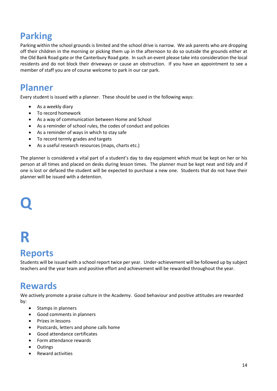## **Parking**

Parking within the school grounds is limited and the school drive is narrow. We ask parents who are dropping off their children in the morning or picking them up in the afternoon to do so outside the grounds either at the Old Bank Road gate or the Canterbury Road gate. In such an event please take into consideration the local residents and do not block their driveways or cause an obstruction. If you have an appointment to see a member of staff you are of course welcome to park in our car park.

#### **Planner**

Every student is issued with a planner. These should be used in the following ways:

- As a weekly diary
- To record homework
- As a way of communication between Home and School
- As a reminder of school rules, the codes of conduct and policies
- As a reminder of ways in which to stay safe
- To record termly grades and targets
- As a useful research resources (maps, charts etc.)

The planner is considered a vital part of a student's day to day equipment which must be kept on her or his person at all times and placed on desks during lesson times. The planner must be kept neat and tidy and if one is lost or defaced the student will be expected to purchase a new one. Students that do not have their planner will be issued with a detention.

# **Q**

## **R**

#### **Reports**

Students will be issued with a school report twice per year. Under-achievement will be followed up by subject teachers and the year team and positive effort and achievement will be rewarded throughout the year.

#### **Rewards**

We actively promote a praise culture in the Academy. Good behaviour and positive attitudes are rewarded by:

- Stamps in planners
- Good comments in planners
- Prizes in lessons
- Postcards, letters and phone calls home
- Good attendance certificates
- Form attendance rewards
- **Outings**
- Reward activities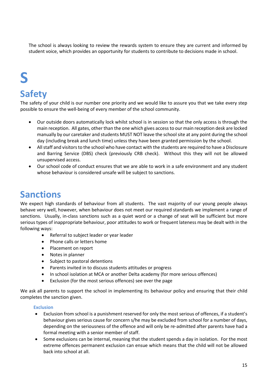The school is always looking to review the rewards system to ensure they are current and informed by student voice, which provides an opportunity for students to contribute to decisions made in school.

# **S**

## **Safety**

The safety of your child is our number one priority and we would like to assure you that we take every step possible to ensure the well-being of every member of the school community.

- Our outside doors automatically lock whilst school is in session so that the only access is through the main reception. All gates, other than the one which gives access to our main reception desk are locked manually by our caretaker and students MUST NOT leave the school site at any point during the school day (including break and lunch time) unless they have been granted permission by the school.
- All staff and visitors to the school who have contact with the students are required to have a Disclosure and Barring Service (DBS) check (previously CRB check). Without this they will not be allowed unsupervised access.
- Our school code of conduct ensures that we are able to work in a safe environment and any student whose behaviour is considered unsafe will be subject to sanctions.

#### **Sanctions**

We expect high standards of behaviour from all students. The vast majority of our young people always behave very well, however, when behaviour does not meet our required standards we implement a range of sanctions. Usually, in-class sanctions such as a quiet word or a change of seat will be sufficient but more serious types of inappropriate behaviour, poor attitudes to work or frequent lateness may be dealt with in the following ways:

- Referral to subject leader or year leader
- Phone calls or letters home
- Placement on report
- Notes in planner
- Subject to pastoral detentions
- Parents invited in to discuss students attitudes or progress
- In school isolation at MCA or another Delta academy (for more serious offences)
- Exclusion (for the most serious offences) see over the page

We ask all parents to support the school in implementing its behaviour policy and ensuring that their child completes the sanction given.

#### **Exclusion**

- Exclusion from school is a punishment reserved for only the most serious of offences, if a student's behaviour gives serious cause for concern s/he may be excluded from school for a number of days, depending on the seriousness of the offence and will only be re-admitted after parents have had a formal meeting with a senior member of staff.
- Some exclusions can be internal, meaning that the student spends a day in isolation. For the most extreme offences permanent exclusion can ensue which means that the child will not be allowed back into school at all.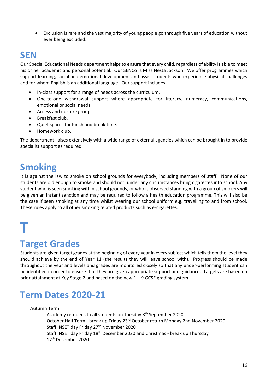Exclusion is rare and the vast majority of young people go through five years of education without ever being excluded.

#### **SEN**

Our Special Educational Needs department helps to ensure that every child, regardless of ability is able to meet his or her academic and personal potential. Our SENCo is Miss Nesta Jackson. We offer programmes which support learning, social and emotional development and assist students who experience physical challenges and for whom English is an additional language. Our support includes:

- In-class support for a range of needs across the curriculum.
- One-to-one withdrawal support where appropriate for literacy, numeracy, communications, emotional or social needs.
- Access and nurture groups.
- Breakfast club.
- Quiet spaces for lunch and break time.
- Homework club.

The department liaises extensively with a wide range of external agencies which can be brought in to provide specialist support as required.

#### **Smoking**

It is against the law to smoke on school grounds for everybody, including members of staff. None of our students are old enough to smoke and should not; under any circumstances bring cigarettes into school. Any student who is seen smoking within school grounds, or who is observed standing with a group of smokers will be given an instant sanction and may be required to follow a health education programme. This will also be the case if seen smoking at any time whilst wearing our school uniform e.g. travelling to and from school. These rules apply to all other smoking related products such as e-cigarettes.

## **T**

### **Target Grades**

Students are given target grades at the beginning of every year in every subject which tells them the level they should achieve by the end of Year 11 (the results they will leave school with). Progress should be made throughout the year and levels and grades are monitored closely so that any under-performing student can be identified in order to ensure that they are given appropriate support and guidance. Targets are based on prior attainment at Key Stage 2 and based on the new 1 – 9 GCSE grading system.

### **Term Dates 2020-21**

Autumn Term:

Academy re-opens to all students on Tuesday 8<sup>th</sup> September 2020 October Half Term - break up Friday 23rd October return Monday 2nd November 2020 Staff INSET day Friday 27<sup>th</sup> November 2020 Staff INSET day Friday 18<sup>th</sup> December 2020 and Christmas - break up Thursday 17th December 2020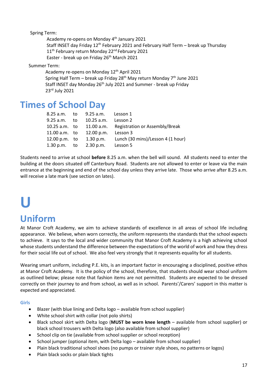Spring Term:

Academy re-opens on Monday 4<sup>th</sup> January 2021 Staff INSET day Friday 12<sup>th</sup> February 2021 and February Half Term – break up Thursday 11<sup>th</sup> February return Monday 22<sup>nd</sup> February 2021 Easter - break up on Friday 26<sup>th</sup> March 2021

Summer Term:

```
Academy re-opens on Monday 12<sup>th</sup> April 2021
Spring Half Term – break up Friday 28<sup>th</sup> May return Monday 7<sup>th</sup> June 2021
Staff INSET day Monday 26<sup>th</sup> July 2021 and Summer - break up Friday
23rd July 2021
```
#### **Times of School Day**

|               | 8.25 a.m. to 9.25 a.m. Lesson 1   |                                                                  |
|---------------|-----------------------------------|------------------------------------------------------------------|
| 9.25 a.m. to  | 10.25 a.m.                        | Lesson 2                                                         |
|               |                                   | 10.25 a.m. to 11.00 a.m. Registration or Assembly/Break          |
| 11.00 a.m. to | 12.00 p.m. Lesson $3$             |                                                                  |
| 12.00 p.m. to |                                   | 1.30 p.m. Lunch $(30 \text{ mins})/$ Lesson 4 $(1 \text{ hour})$ |
|               | 1.30 p.m. to $2.30$ p.m. Lesson 5 |                                                                  |

Students need to arrive at school **before** 8.25 a.m. when the bell will sound. All students need to enter the building at the doors situated off Canterbury Road. Students are not allowed to enter or leave via the main entrance at the beginning and end of the school day unless they arrive late. Those who arrive after 8.25 a.m. will receive a late mark (see section on lates).

## **U Uniform**

At Manor Croft Academy, we aim to achieve standards of excellence in all areas of school life including appearance. We believe, when worn correctly, the uniform represents the standards that the school expects to achieve. It says to the local and wider community that Manor Croft Academy is a high achieving school whose students understand the difference between the expectations of the world of work and how they dress for their social life out of school. We also feel very strongly that it represents equality for all students.

Wearing smart uniform, including P.E. kits, is an important factor in encouraging a disciplined, positive ethos at Manor Croft Academy. It is the policy of the school, therefore, that students should wear school uniform as outlined below; please note that fashion items are not permitted. Students are expected to be dressed correctly on their journey to and from school, as well as in school. Parents'/Carers' support in this matter is expected and appreciated.

**Girls**

- Blazer (with blue lining and Delta logo available from school supplier)
- White school shirt with collar (not polo shirts)
- Black school skirt with Delta logo (**MUST be worn knee length** available from school supplier) or black school trousers with Delta logo (also available from school supplier)
- School clip on tie (available from school supplier or school reception)
- School jumper (optional item, with Delta logo available from school supplier)
- Plain black traditional school shoes (no pumps or trainer style shoes, no patterns or logos)
- Plain black socks or plain black tights